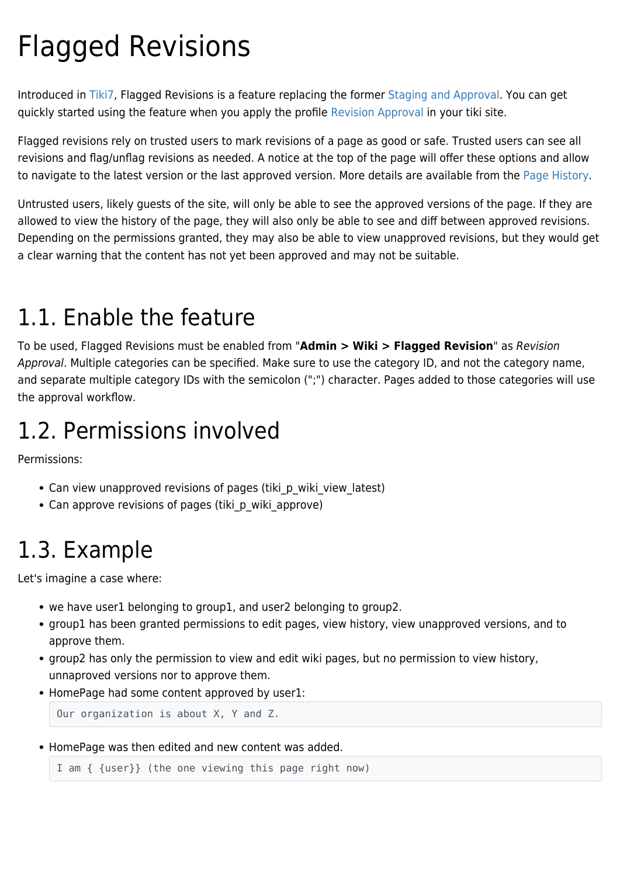# Flagged Revisions

Introduced in [Tiki7,](https://doc.tiki.org/Tiki7) Flagged Revisions is a feature replacing the former [Staging and Approval.](https://doc.tiki.org/Staging%20and%20Approval) You can get quickly started using the feature when you apply the profile [Revision Approval](http://profiles.tiki.org/Revision%20Approval) in your tiki site.

Flagged revisions rely on trusted users to mark revisions of a page as good or safe. Trusted users can see all revisions and flag/unflag revisions as needed. A notice at the top of the page will offer these options and allow to navigate to the latest version or the last approved version. More details are available from the [Page History](https://doc.tiki.org/Page%20History).

Untrusted users, likely guests of the site, will only be able to see the approved versions of the page. If they are allowed to view the history of the page, they will also only be able to see and diff between approved revisions. Depending on the permissions granted, they may also be able to view unapproved revisions, but they would get a clear warning that the content has not yet been approved and may not be suitable.

## 1.1. Enable the feature

To be used, Flagged Revisions must be enabled from "**Admin > Wiki > Flagged Revision**" as Revision Approval. Multiple categories can be specified. Make sure to use the category ID, and not the category name, and separate multiple category IDs with the semicolon (";") character. Pages added to those categories will use the approval workflow.

## 1.2. Permissions involved

Permissions:

- Can view unapproved revisions of pages (tiki p wiki view latest)
- Can approve revisions of pages (tiki\_p\_wiki\_approve)

## 1.3. Example

Let's imagine a case where:

- we have user1 belonging to group1, and user2 belonging to group2.
- group1 has been granted permissions to edit pages, view history, view unapproved versions, and to approve them.
- group2 has only the permission to view and edit wiki pages, but no permission to view history, unnaproved versions nor to approve them.
- HomePage had some content approved by user1:

Our organization is about X, Y and Z.

HomePage was then edited and new content was added.

```
I am { {user}} (the one viewing this page right now)
```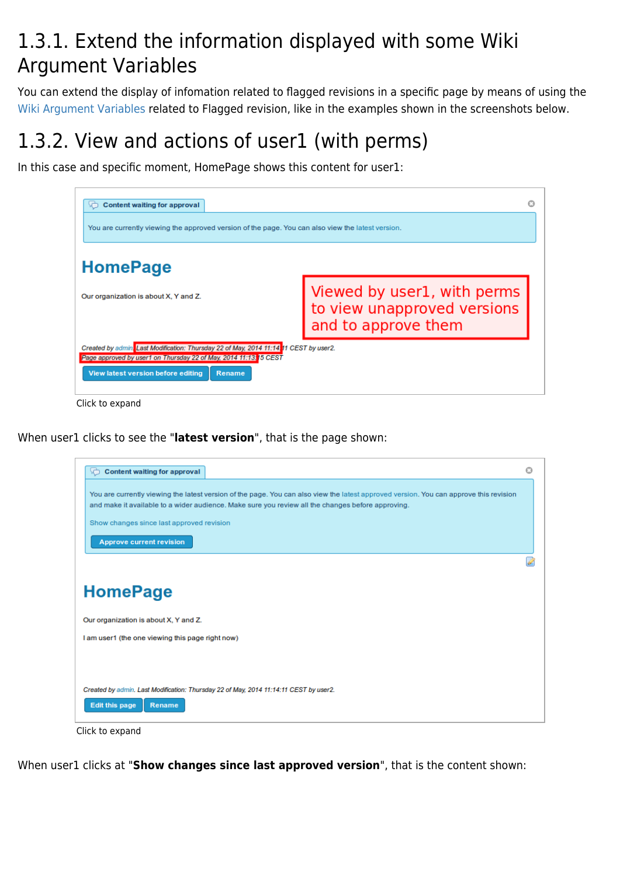#### 1.3.1. Extend the information displayed with some Wiki Argument Variables

You can extend the display of infomation related to flagged revisions in a specific page by means of using the [Wiki Argument Variables](https://doc.tiki.org/Wiki-Argument-Variables) related to Flagged revision, like in the examples shown in the screenshots below.

### 1.3.2. View and actions of user1 (with perms)

In this case and specific moment, HomePage shows this content for user1:

| <b>Content waiting for approval</b>                                                                                                                                                                         |                                                                                   |
|-------------------------------------------------------------------------------------------------------------------------------------------------------------------------------------------------------------|-----------------------------------------------------------------------------------|
| You are currently viewing the approved version of the page. You can also view the latest version.                                                                                                           |                                                                                   |
| <b>HomePage</b>                                                                                                                                                                                             |                                                                                   |
| Our organization is about X, Y and Z.                                                                                                                                                                       | Viewed by user1, with perms<br>to view unapproved versions<br>and to approve them |
| Created by admin. Last Modification: Thursday 22 of May, 2014 11:14, 11 CEST by user2.<br>Page approved by user1 on Thursday 22 of May, 2014 11:13, 15 CEST<br>View latest version before editing<br>Rename |                                                                                   |
| Click to expand                                                                                                                                                                                             |                                                                                   |

When user1 clicks to see the "**latest version**", that is the page shown:



Click to expand

When user1 clicks at "**Show changes since last approved version**", that is the content shown: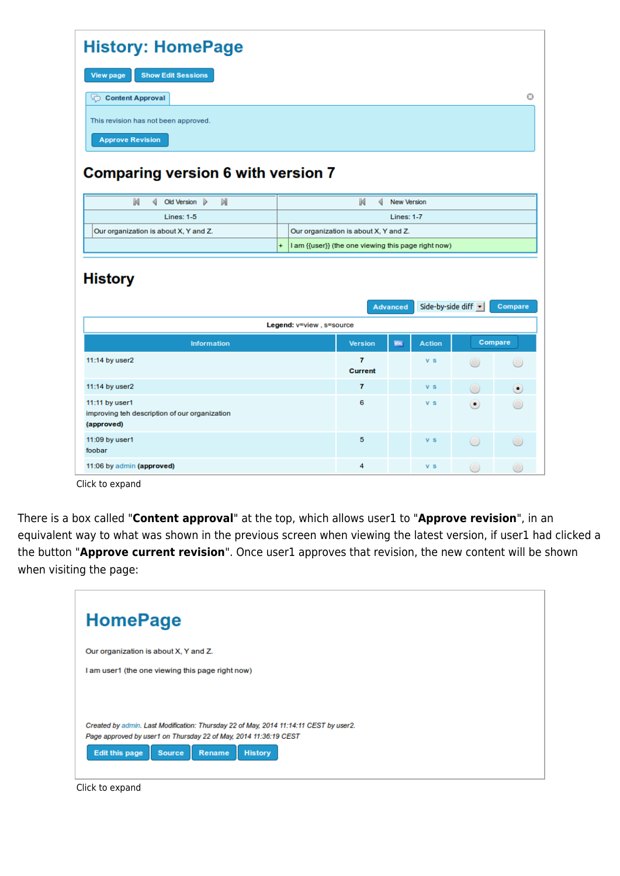| <b>History: HomePage</b>                                                      |           |                          |                                                                                              |                    |                     |   |                          |
|-------------------------------------------------------------------------------|-----------|--------------------------|----------------------------------------------------------------------------------------------|--------------------|---------------------|---|--------------------------|
| <b>Show Edit Sessions</b><br><b>View page</b>                                 |           |                          |                                                                                              |                    |                     |   |                          |
| Content Approval                                                              |           |                          |                                                                                              |                    |                     |   | $\odot$                  |
|                                                                               |           |                          |                                                                                              |                    |                     |   |                          |
| This revision has not been approved.                                          |           |                          |                                                                                              |                    |                     |   |                          |
| <b>Approve Revision</b>                                                       |           |                          |                                                                                              |                    |                     |   |                          |
| <b>Comparing version 6 with version 7</b>                                     |           |                          |                                                                                              |                    |                     |   |                          |
| K<br>M<br>Old Version   ><br>∢                                                |           |                          | M<br>∢                                                                                       | <b>New Version</b> |                     |   |                          |
| <b>Lines: 1-5</b>                                                             |           | <b>Lines: 1-7</b>        |                                                                                              |                    |                     |   |                          |
| Our organization is about X, Y and Z.                                         | $\ddot{}$ |                          | Our organization is about X, Y and Z.<br>I am {{user}} (the one viewing this page right now) |                    |                     |   |                          |
|                                                                               |           |                          |                                                                                              |                    |                     |   |                          |
| <b>History</b>                                                                |           |                          |                                                                                              | <b>Advanced</b>    | Side-by-side diff v |   | Compare                  |
|                                                                               |           | Legend: v=view, s=source |                                                                                              |                    |                     |   |                          |
| <b>Information</b>                                                            |           |                          | <b>Version</b>                                                                               | <b>HTHL</b>        | <b>Action</b>       |   | Compare                  |
| 11:14 by user2                                                                |           |                          | 7<br><b>Current</b>                                                                          |                    | $V$ S               |   |                          |
| 11:14 by user2                                                                |           |                          | 7                                                                                            |                    | V <sub>S</sub>      | 0 | $\left( \bullet \right)$ |
| 11:11 by user1<br>improving teh description of our organization<br>(approved) |           |                          | 6                                                                                            |                    | v s                 | ( |                          |
| 11:09 by user1<br>foobar                                                      |           |                          | 5                                                                                            |                    | $V$ S               |   |                          |

Click to expand

There is a box called "**Content approval**" at the top, which allows user1 to "**Approve revision**", in an equivalent way to what was shown in the previous screen when viewing the latest version, if user1 had clicked a the button "**Approve current revision**". Once user1 approves that revision, the new content will be shown when visiting the page:



Click to expand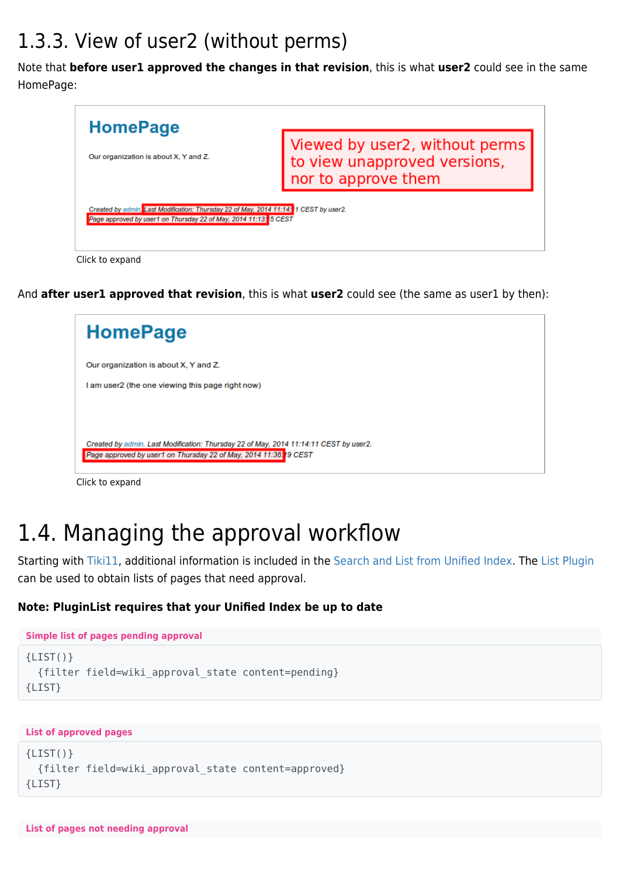#### 1.3.3. View of user2 (without perms)

Note that **before user1 approved the changes in that revision**, this is what **user2** could see in the same HomePage:



And **after user1 approved that revision**, this is what **user2** could see (the same as user1 by then):



Click to expand

## 1.4. Managing the approval workflow

Starting with [Tiki11,](https://doc.tiki.org/Tiki11) additional information is included in the [Search and List from Unified Index.](https://doc.tiki.org/Search-and-List-from-Unified-Index) The [List Plugin](https://doc.tiki.org/PluginList) can be used to obtain lists of pages that need approval.

#### **Note: PluginList requires that your Unified Index be up to date**

```
Simple list of pages pending approval
{LIST()}
   {filter field=wiki_approval_state content=pending}
{LIST}
```

```
List of approved pages
```

```
{LIST() } {filter field=wiki_approval_state content=approved}
{LIST}
```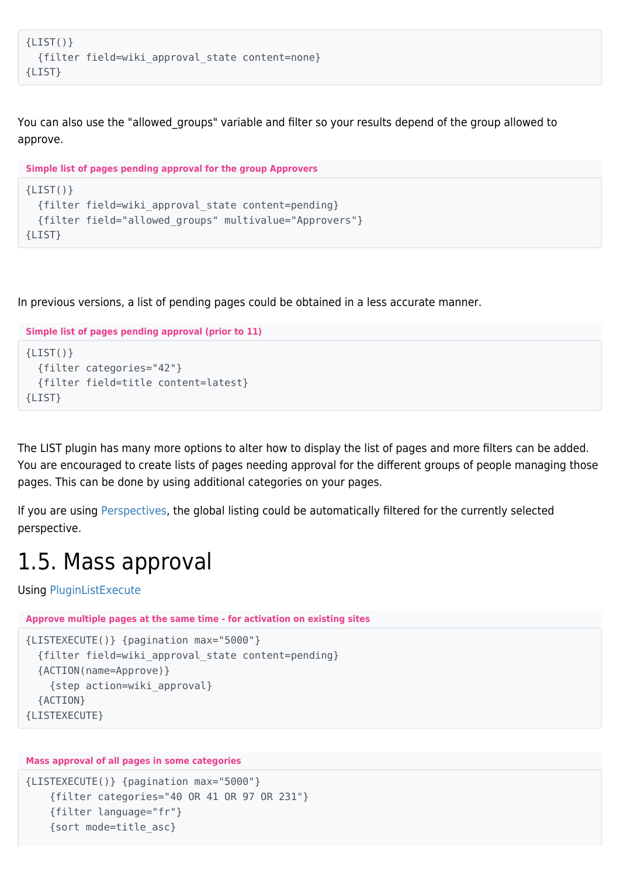```
{LIST() } {filter field=wiki_approval_state content=none}
{LIST}
```
You can also use the "allowed\_groups" variable and filter so your results depend of the group allowed to approve.

```
Simple list of pages pending approval for the group Approvers
{LIST()}
   {filter field=wiki_approval_state content=pending}
   {filter field="allowed_groups" multivalue="Approvers"}
{LIST}
```
In previous versions, a list of pending pages could be obtained in a less accurate manner.

```
Simple list of pages pending approval (prior to 11)
{LIST() } {filter categories="42"}
   {filter field=title content=latest}
{LIST}
```
The LIST plugin has many more options to alter how to display the list of pages and more filters can be added. You are encouraged to create lists of pages needing approval for the different groups of people managing those pages. This can be done by using additional categories on your pages.

If you are using [Perspectives](https://doc.tiki.org/Perspectives), the global listing could be automatically filtered for the currently selected perspective.

### 1.5. Mass approval

Using [PluginListExecute](https://doc.tiki.org/PluginListExecute)

**Approve multiple pages at the same time - for activation on existing sites**

```
{LISTEXECUTE()} {pagination max="5000"}
   {filter field=wiki_approval_state content=pending}
   {ACTION(name=Approve)}
     {step action=wiki_approval}
   {ACTION}
{LISTEXECUTE}
```
#### **Mass approval of all pages in some categories**

```
{LISTEXECUTE()} {pagination max="5000"}
     {filter categories="40 OR 41 OR 97 OR 231"}
     {filter language="fr"}
     {sort mode=title_asc}
```